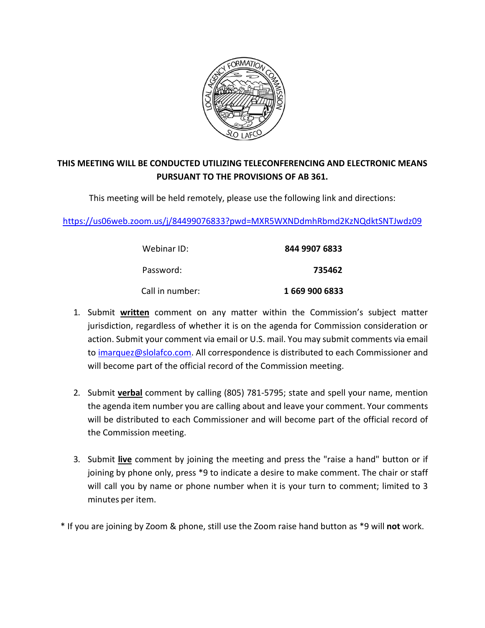

#### **THIS MEETING WILL BE CONDUCTED UTILIZING TELECONFERENCING AND ELECTRONIC MEANS PURSUANT TO THE PROVISIONS OF AB 361.**

This meeting will be held remotely, please use the following link and directions:

<https://us06web.zoom.us/j/84499076833?pwd=MXR5WXNDdmhRbmd2KzNQdktSNTJwdz09>

| Webinar ID:     | 844 9907 6833  |  |
|-----------------|----------------|--|
| Password:       | 735462         |  |
| Call in number: | 1 669 900 6833 |  |

- 1. Submit **written** comment on any matter within the Commission's subject matter jurisdiction, regardless of whether it is on the agenda for Commission consideration or action. Submit your comment via email or U.S. mail. You may submit comments via email to [imarquez@slolafco.com.](mailto:imarquez@slolafco.com) All correspondence is distributed to each Commissioner and will become part of the official record of the Commission meeting.
- 2. Submit **verbal** comment by calling (805) 781-5795; state and spell your name, mention the agenda item number you are calling about and leave your comment. Your comments will be distributed to each Commissioner and will become part of the official record of the Commission meeting.
- 3. Submit **live** comment by joining the meeting and press the "raise a hand" button or if joining by phone only, press \*9 to indicate a desire to make comment. The chair or staff will call you by name or phone number when it is your turn to comment; limited to 3 minutes per item.
- \* If you are joining by Zoom & phone, still use the Zoom raise hand button as \*9 will **not** work.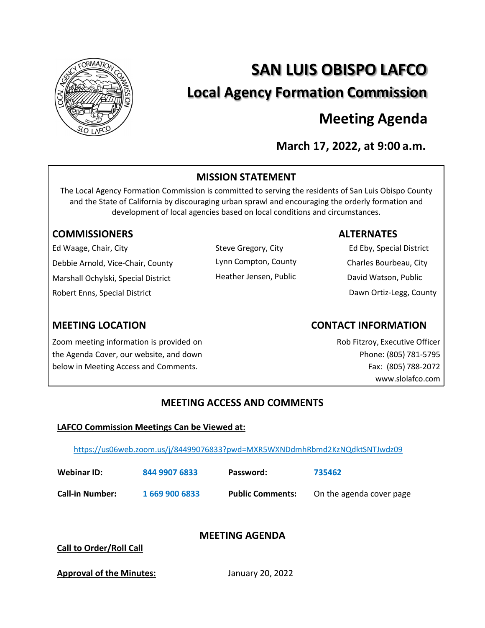

# **SAN LUIS OBISPO LAFCO Local Agency Formation Commission**

## **Meeting Agenda**

**March 17, 2022, at 9:00 a.m.**

#### **MISSION STATEMENT**

The Local Agency Formation Commission is committed to serving the residents of San Luis Obispo County and the State of California by discouraging urban sprawl and encouraging the orderly formation and development of local agencies based on local conditions and circumstances.

#### **COMMISSIONERS ALTERNATES**

Ed Waage, Chair, City Debbie Arnold, Vice-Chair, County Marshall Ochylski, Special District Robert Enns, Special District

Steve Gregory, City Lynn Compton, County Heather Jensen, Public

Ed Eby, Special District Charles Bourbeau, City David Watson, Public Dawn Ortiz-Legg, County

Zoom meeting information is provided on the Agenda Cover, our website, and down below in Meeting Access and Comments.

### **MEETING LOCATION CONTACT INFORMATION**

Rob Fitzroy, Executive Officer Phone: (805) 781-5795 Fax: (805) 788-2072 [www.slolafco.com](http://www.slolafco.com/)

#### **MEETING ACCESS AND COMMENTS**

#### **LAFCO Commission Meetings Can be Viewed at:**

<https://us06web.zoom.us/j/84499076833?pwd=MXR5WXNDdmhRbmd2KzNQdktSNTJwdz09>

| Webinar ID:            | 844 9907 6833  | Password:               | 735462                   |
|------------------------|----------------|-------------------------|--------------------------|
| <b>Call-in Number:</b> | 1 669 900 6833 | <b>Public Comments:</b> | On the agenda cover page |

### **MEETING AGENDA**

**Call to Order/Roll Call**

**Approval of the Minutes:** January 20, 2022